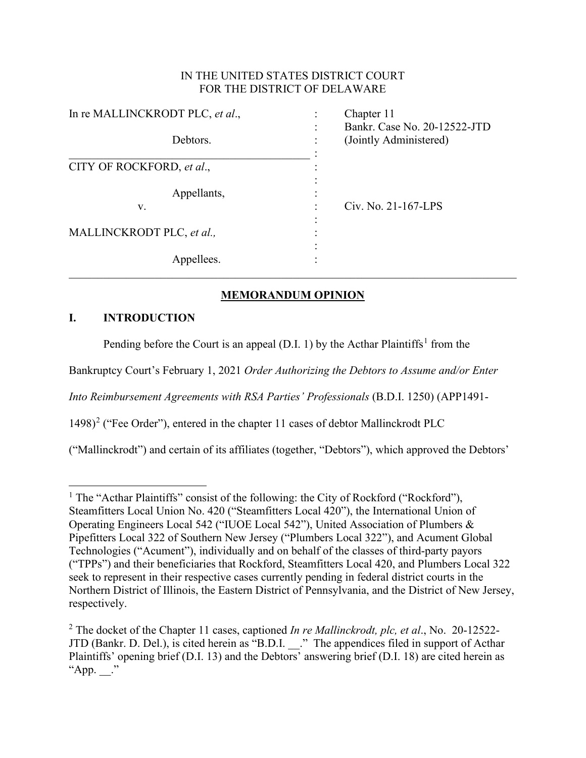## IN THE UNITED STATES DISTRICT COURT FOR THE DISTRICT OF DELAWARE

| In re MALLINCKRODT PLC, et al., | Chapter 11                                             |
|---------------------------------|--------------------------------------------------------|
| Debtors.                        | Bankr. Case No. 20-12522-JTD<br>(Jointly Administered) |
| CITY OF ROCKFORD, et al.,       |                                                        |
| Appellants,<br>V.               | Civ. No. 21-167-LPS                                    |
| MALLINCKRODT PLC, et al.,       |                                                        |
| Appellees.                      |                                                        |

# **MEMORANDUM OPINION**

## **I. INTRODUCTION**

Pending before the Court is an appeal (D.I. [1](#page-0-0)) by the Acthar Plaintiffs<sup>1</sup> from the

Bankruptcy Court's February 1, 2021 *Order Authorizing the Debtors to Assume and/or Enter* 

*Into Reimbursement Agreements with RSA Parties' Professionals* (B.D.I. 1250) (APP1491-

 $1498$ <sup>[2](#page-0-1)</sup> ("Fee Order"), entered in the chapter 11 cases of debtor Mallinckrodt PLC

("Mallinckrodt") and certain of its affiliates (together, "Debtors"), which approved the Debtors'

<span id="page-0-0"></span><sup>&</sup>lt;sup>1</sup> The "Acthar Plaintiffs" consist of the following: the City of Rockford ("Rockford"), Steamfitters Local Union No. 420 ("Steamfitters Local 420"), the International Union of Operating Engineers Local 542 ("IUOE Local 542"), United Association of Plumbers & Pipefitters Local 322 of Southern New Jersey ("Plumbers Local 322"), and Acument Global Technologies ("Acument"), individually and on behalf of the classes of third-party payors ("TPPs") and their beneficiaries that Rockford, Steamfitters Local 420, and Plumbers Local 322 seek to represent in their respective cases currently pending in federal district courts in the Northern District of Illinois, the Eastern District of Pennsylvania, and the District of New Jersey, respectively.

<span id="page-0-1"></span><sup>2</sup> The docket of the Chapter 11 cases, captioned *In re Mallinckrodt, plc, et al*., No. 20-12522- JTD (Bankr. D. Del.), is cited herein as "B.D.I. \_\_." The appendices filed in support of Acthar Plaintiffs' opening brief (D.I. 13) and the Debtors' answering brief (D.I. 18) are cited herein as "App. ."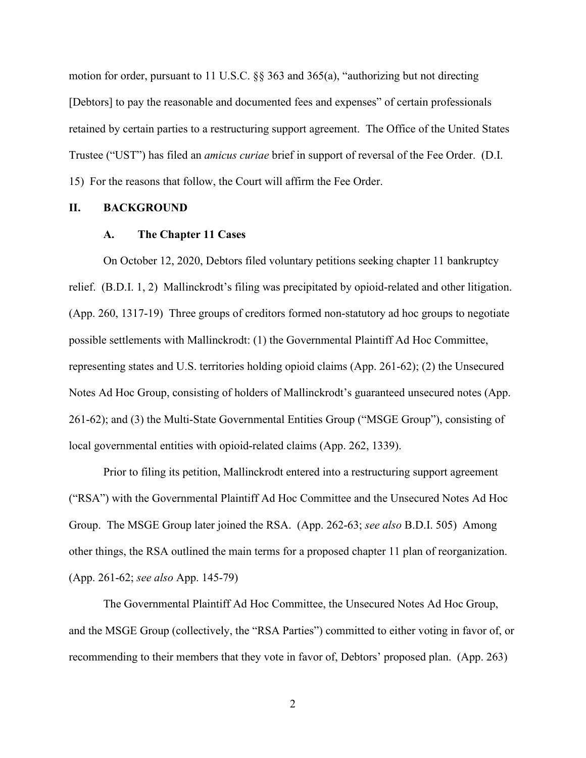motion for order, pursuant to 11 U.S.C. §§ 363 and 365(a), "authorizing but not directing [Debtors] to pay the reasonable and documented fees and expenses" of certain professionals retained by certain parties to a restructuring support agreement. The Office of the United States Trustee ("UST") has filed an *amicus curiae* brief in support of reversal of the Fee Order. (D.I. 15) For the reasons that follow, the Court will affirm the Fee Order.

### **II. BACKGROUND**

#### **A. The Chapter 11 Cases**

On October 12, 2020, Debtors filed voluntary petitions seeking chapter 11 bankruptcy relief. (B.D.I. 1, 2) Mallinckrodt's filing was precipitated by opioid-related and other litigation. (App. 260, 1317-19) Three groups of creditors formed non-statutory ad hoc groups to negotiate possible settlements with Mallinckrodt: (1) the Governmental Plaintiff Ad Hoc Committee, representing states and U.S. territories holding opioid claims (App. 261-62); (2) the Unsecured Notes Ad Hoc Group, consisting of holders of Mallinckrodt's guaranteed unsecured notes (App. 261-62); and (3) the Multi-State Governmental Entities Group ("MSGE Group"), consisting of local governmental entities with opioid-related claims (App. 262, 1339).

Prior to filing its petition, Mallinckrodt entered into a restructuring support agreement ("RSA") with the Governmental Plaintiff Ad Hoc Committee and the Unsecured Notes Ad Hoc Group. The MSGE Group later joined the RSA. (App. 262-63; *see also* B.D.I. 505) Among other things, the RSA outlined the main terms for a proposed chapter 11 plan of reorganization. (App. 261-62; *see also* App. 145-79)

The Governmental Plaintiff Ad Hoc Committee, the Unsecured Notes Ad Hoc Group, and the MSGE Group (collectively, the "RSA Parties") committed to either voting in favor of, or recommending to their members that they vote in favor of, Debtors' proposed plan. (App. 263)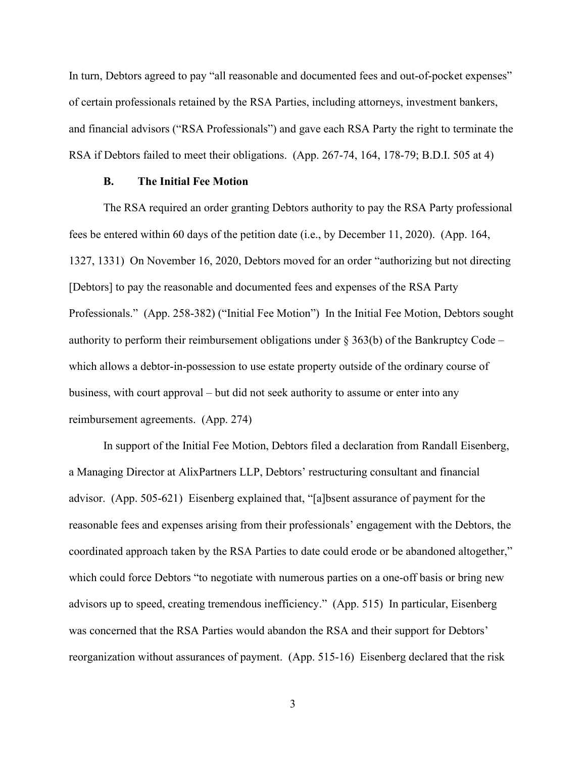In turn, Debtors agreed to pay "all reasonable and documented fees and out-of-pocket expenses" of certain professionals retained by the RSA Parties, including attorneys, investment bankers, and financial advisors ("RSA Professionals") and gave each RSA Party the right to terminate the RSA if Debtors failed to meet their obligations. (App. 267-74, 164, 178-79; B.D.I. 505 at 4)

#### **B. The Initial Fee Motion**

The RSA required an order granting Debtors authority to pay the RSA Party professional fees be entered within 60 days of the petition date (i.e., by December 11, 2020). (App. 164, 1327, 1331) On November 16, 2020, Debtors moved for an order "authorizing but not directing [Debtors] to pay the reasonable and documented fees and expenses of the RSA Party Professionals." (App. 258-382) ("Initial Fee Motion") In the Initial Fee Motion, Debtors sought authority to perform their reimbursement obligations under  $\S 363(b)$  of the Bankruptcy Code – which allows a debtor-in-possession to use estate property outside of the ordinary course of business, with court approval – but did not seek authority to assume or enter into any reimbursement agreements. (App. 274)

In support of the Initial Fee Motion, Debtors filed a declaration from Randall Eisenberg, a Managing Director at AlixPartners LLP, Debtors' restructuring consultant and financial advisor. (App. 505-621) Eisenberg explained that, "[a]bsent assurance of payment for the reasonable fees and expenses arising from their professionals' engagement with the Debtors, the coordinated approach taken by the RSA Parties to date could erode or be abandoned altogether," which could force Debtors "to negotiate with numerous parties on a one-off basis or bring new advisors up to speed, creating tremendous inefficiency." (App. 515) In particular, Eisenberg was concerned that the RSA Parties would abandon the RSA and their support for Debtors' reorganization without assurances of payment. (App. 515-16) Eisenberg declared that the risk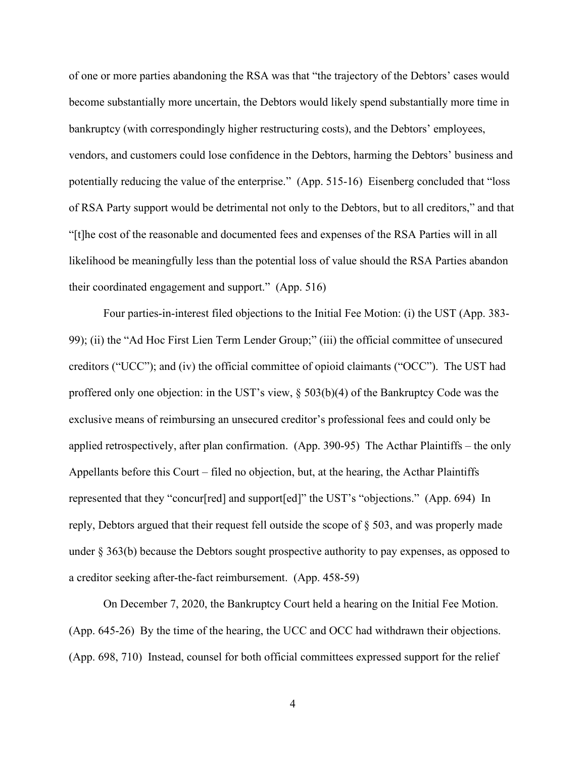of one or more parties abandoning the RSA was that "the trajectory of the Debtors' cases would become substantially more uncertain, the Debtors would likely spend substantially more time in bankruptcy (with correspondingly higher restructuring costs), and the Debtors' employees, vendors, and customers could lose confidence in the Debtors, harming the Debtors' business and potentially reducing the value of the enterprise." (App. 515-16) Eisenberg concluded that "loss of RSA Party support would be detrimental not only to the Debtors, but to all creditors," and that "[t]he cost of the reasonable and documented fees and expenses of the RSA Parties will in all likelihood be meaningfully less than the potential loss of value should the RSA Parties abandon their coordinated engagement and support." (App. 516)

Four parties-in-interest filed objections to the Initial Fee Motion: (i) the UST (App. 383- 99); (ii) the "Ad Hoc First Lien Term Lender Group;" (iii) the official committee of unsecured creditors ("UCC"); and (iv) the official committee of opioid claimants ("OCC"). The UST had proffered only one objection: in the UST's view, § 503(b)(4) of the Bankruptcy Code was the exclusive means of reimbursing an unsecured creditor's professional fees and could only be applied retrospectively, after plan confirmation. (App. 390-95) The Acthar Plaintiffs – the only Appellants before this Court – filed no objection, but, at the hearing, the Acthar Plaintiffs represented that they "concur[red] and support[ed]" the UST's "objections." (App. 694) In reply, Debtors argued that their request fell outside the scope of § 503, and was properly made under § 363(b) because the Debtors sought prospective authority to pay expenses, as opposed to a creditor seeking after-the-fact reimbursement. (App. 458-59)

On December 7, 2020, the Bankruptcy Court held a hearing on the Initial Fee Motion. (App. 645-26) By the time of the hearing, the UCC and OCC had withdrawn their objections. (App. 698, 710) Instead, counsel for both official committees expressed support for the relief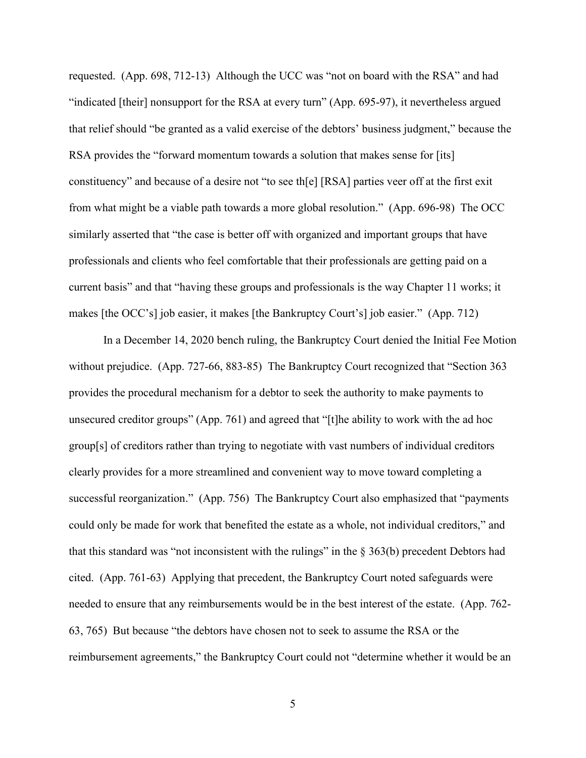requested. (App. 698, 712-13) Although the UCC was "not on board with the RSA" and had "indicated [their] nonsupport for the RSA at every turn" (App. 695-97), it nevertheless argued that relief should "be granted as a valid exercise of the debtors' business judgment," because the RSA provides the "forward momentum towards a solution that makes sense for [its] constituency" and because of a desire not "to see th[e] [RSA] parties veer off at the first exit from what might be a viable path towards a more global resolution." (App. 696-98) The OCC similarly asserted that "the case is better off with organized and important groups that have professionals and clients who feel comfortable that their professionals are getting paid on a current basis" and that "having these groups and professionals is the way Chapter 11 works; it makes [the OCC's] job easier, it makes [the Bankruptcy Court's] job easier." (App. 712)

In a December 14, 2020 bench ruling, the Bankruptcy Court denied the Initial Fee Motion without prejudice. (App. 727-66, 883-85) The Bankruptcy Court recognized that "Section 363 provides the procedural mechanism for a debtor to seek the authority to make payments to unsecured creditor groups" (App. 761) and agreed that "[t]he ability to work with the ad hoc group[s] of creditors rather than trying to negotiate with vast numbers of individual creditors clearly provides for a more streamlined and convenient way to move toward completing a successful reorganization." (App. 756) The Bankruptcy Court also emphasized that "payments could only be made for work that benefited the estate as a whole, not individual creditors," and that this standard was "not inconsistent with the rulings" in the  $\S$  363(b) precedent Debtors had cited. (App. 761-63) Applying that precedent, the Bankruptcy Court noted safeguards were needed to ensure that any reimbursements would be in the best interest of the estate. (App. 762- 63, 765) But because "the debtors have chosen not to seek to assume the RSA or the reimbursement agreements," the Bankruptcy Court could not "determine whether it would be an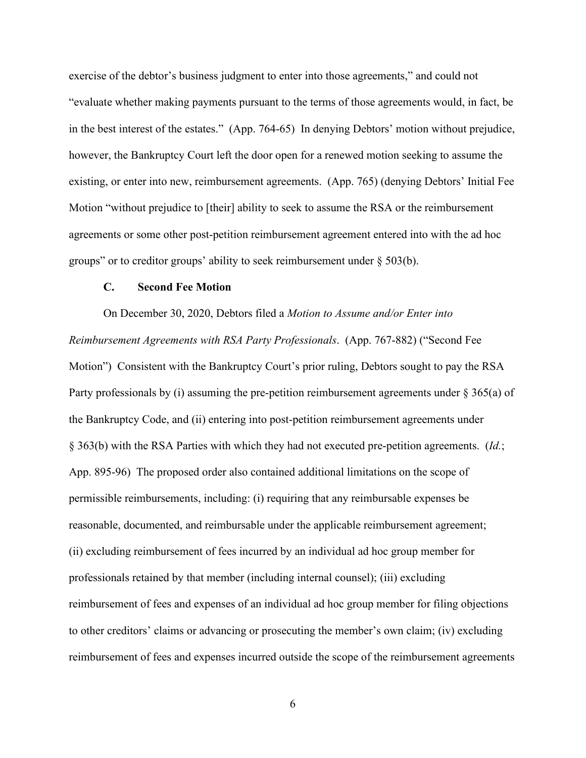exercise of the debtor's business judgment to enter into those agreements," and could not "evaluate whether making payments pursuant to the terms of those agreements would, in fact, be in the best interest of the estates." (App. 764-65) In denying Debtors' motion without prejudice, however, the Bankruptcy Court left the door open for a renewed motion seeking to assume the existing, or enter into new, reimbursement agreements. (App. 765) (denying Debtors' Initial Fee Motion "without prejudice to [their] ability to seek to assume the RSA or the reimbursement agreements or some other post-petition reimbursement agreement entered into with the ad hoc groups" or to creditor groups' ability to seek reimbursement under § 503(b).

#### **C. Second Fee Motion**

On December 30, 2020, Debtors filed a *Motion to Assume and/or Enter into Reimbursement Agreements with RSA Party Professionals*. (App. 767-882) ("Second Fee Motion") Consistent with the Bankruptcy Court's prior ruling, Debtors sought to pay the RSA Party professionals by (i) assuming the pre-petition reimbursement agreements under § 365(a) of the Bankruptcy Code, and (ii) entering into post-petition reimbursement agreements under § 363(b) with the RSA Parties with which they had not executed pre-petition agreements. (*Id.*; App. 895-96) The proposed order also contained additional limitations on the scope of permissible reimbursements, including: (i) requiring that any reimbursable expenses be reasonable, documented, and reimbursable under the applicable reimbursement agreement; (ii) excluding reimbursement of fees incurred by an individual ad hoc group member for professionals retained by that member (including internal counsel); (iii) excluding reimbursement of fees and expenses of an individual ad hoc group member for filing objections to other creditors' claims or advancing or prosecuting the member's own claim; (iv) excluding reimbursement of fees and expenses incurred outside the scope of the reimbursement agreements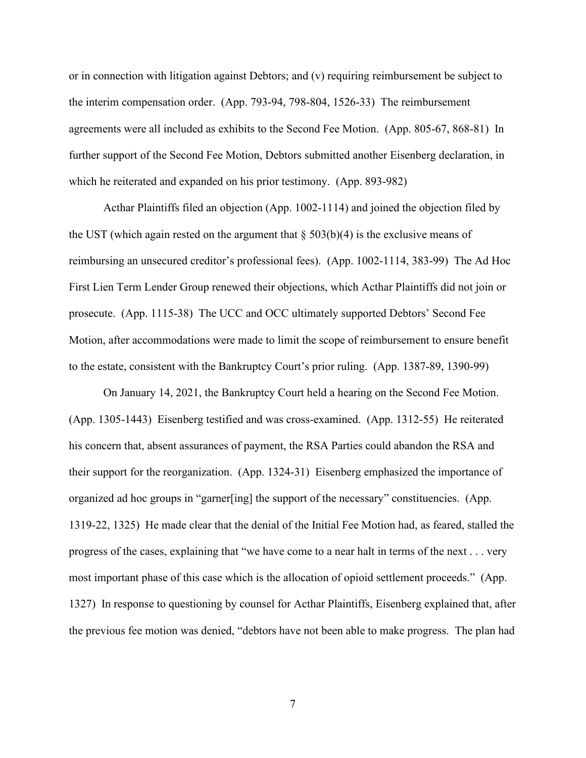or in connection with litigation against Debtors; and (v) requiring reimbursement be subject to the interim compensation order. (App. 793-94, 798-804, 1526-33) The reimbursement agreements were all included as exhibits to the Second Fee Motion. (App. 805-67, 868-81) In further support of the Second Fee Motion, Debtors submitted another Eisenberg declaration, in which he reiterated and expanded on his prior testimony. (App. 893-982)

Acthar Plaintiffs filed an objection (App. 1002-1114) and joined the objection filed by the UST (which again rested on the argument that  $\S 503(b)(4)$  is the exclusive means of reimbursing an unsecured creditor's professional fees). (App. 1002-1114, 383-99) The Ad Hoc First Lien Term Lender Group renewed their objections, which Acthar Plaintiffs did not join or prosecute. (App. 1115-38) The UCC and OCC ultimately supported Debtors' Second Fee Motion, after accommodations were made to limit the scope of reimbursement to ensure benefit to the estate, consistent with the Bankruptcy Court's prior ruling. (App. 1387-89, 1390-99)

On January 14, 2021, the Bankruptcy Court held a hearing on the Second Fee Motion. (App. 1305-1443) Eisenberg testified and was cross-examined. (App. 1312-55) He reiterated his concern that, absent assurances of payment, the RSA Parties could abandon the RSA and their support for the reorganization. (App. 1324-31) Eisenberg emphasized the importance of organized ad hoc groups in "garner[ing] the support of the necessary" constituencies. (App. 1319-22, 1325) He made clear that the denial of the Initial Fee Motion had, as feared, stalled the progress of the cases, explaining that "we have come to a near halt in terms of the next . . . very most important phase of this case which is the allocation of opioid settlement proceeds." (App. 1327) In response to questioning by counsel for Acthar Plaintiffs, Eisenberg explained that, after the previous fee motion was denied, "debtors have not been able to make progress. The plan had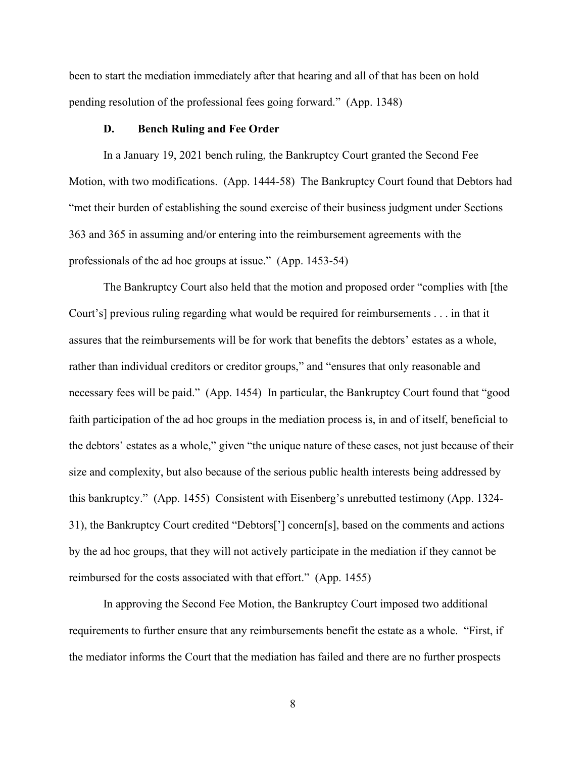been to start the mediation immediately after that hearing and all of that has been on hold pending resolution of the professional fees going forward." (App. 1348)

#### **D. Bench Ruling and Fee Order**

In a January 19, 2021 bench ruling, the Bankruptcy Court granted the Second Fee Motion, with two modifications. (App. 1444-58) The Bankruptcy Court found that Debtors had "met their burden of establishing the sound exercise of their business judgment under Sections 363 and 365 in assuming and/or entering into the reimbursement agreements with the professionals of the ad hoc groups at issue." (App. 1453-54)

The Bankruptcy Court also held that the motion and proposed order "complies with [the Court's] previous ruling regarding what would be required for reimbursements . . . in that it assures that the reimbursements will be for work that benefits the debtors' estates as a whole, rather than individual creditors or creditor groups," and "ensures that only reasonable and necessary fees will be paid." (App. 1454) In particular, the Bankruptcy Court found that "good faith participation of the ad hoc groups in the mediation process is, in and of itself, beneficial to the debtors' estates as a whole," given "the unique nature of these cases, not just because of their size and complexity, but also because of the serious public health interests being addressed by this bankruptcy." (App. 1455) Consistent with Eisenberg's unrebutted testimony (App. 1324- 31), the Bankruptcy Court credited "Debtors['] concern[s], based on the comments and actions by the ad hoc groups, that they will not actively participate in the mediation if they cannot be reimbursed for the costs associated with that effort." (App. 1455)

In approving the Second Fee Motion, the Bankruptcy Court imposed two additional requirements to further ensure that any reimbursements benefit the estate as a whole. "First, if the mediator informs the Court that the mediation has failed and there are no further prospects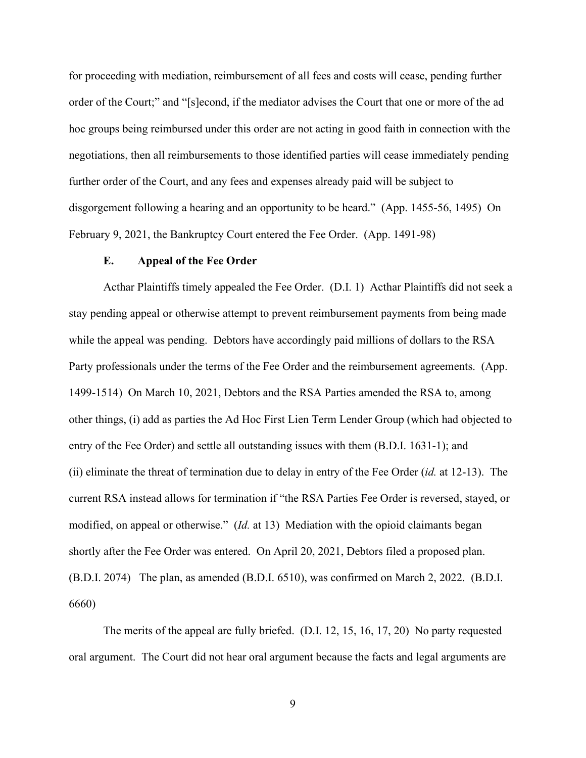for proceeding with mediation, reimbursement of all fees and costs will cease, pending further order of the Court;" and "[s]econd, if the mediator advises the Court that one or more of the ad hoc groups being reimbursed under this order are not acting in good faith in connection with the negotiations, then all reimbursements to those identified parties will cease immediately pending further order of the Court, and any fees and expenses already paid will be subject to disgorgement following a hearing and an opportunity to be heard." (App. 1455-56, 1495) On February 9, 2021, the Bankruptcy Court entered the Fee Order. (App. 1491-98)

#### **E. Appeal of the Fee Order**

Acthar Plaintiffs timely appealed the Fee Order. (D.I. 1) Acthar Plaintiffs did not seek a stay pending appeal or otherwise attempt to prevent reimbursement payments from being made while the appeal was pending. Debtors have accordingly paid millions of dollars to the RSA Party professionals under the terms of the Fee Order and the reimbursement agreements. (App. 1499-1514) On March 10, 2021, Debtors and the RSA Parties amended the RSA to, among other things, (i) add as parties the Ad Hoc First Lien Term Lender Group (which had objected to entry of the Fee Order) and settle all outstanding issues with them (B.D.I. 1631-1); and (ii) eliminate the threat of termination due to delay in entry of the Fee Order (*id.* at 12-13). The current RSA instead allows for termination if "the RSA Parties Fee Order is reversed, stayed, or modified, on appeal or otherwise." (*Id.* at 13) Mediation with the opioid claimants began shortly after the Fee Order was entered. On April 20, 2021, Debtors filed a proposed plan. (B.D.I. 2074) The plan, as amended (B.D.I. 6510), was confirmed on March 2, 2022. (B.D.I. 6660)

The merits of the appeal are fully briefed. (D.I. 12, 15, 16, 17, 20) No party requested oral argument. The Court did not hear oral argument because the facts and legal arguments are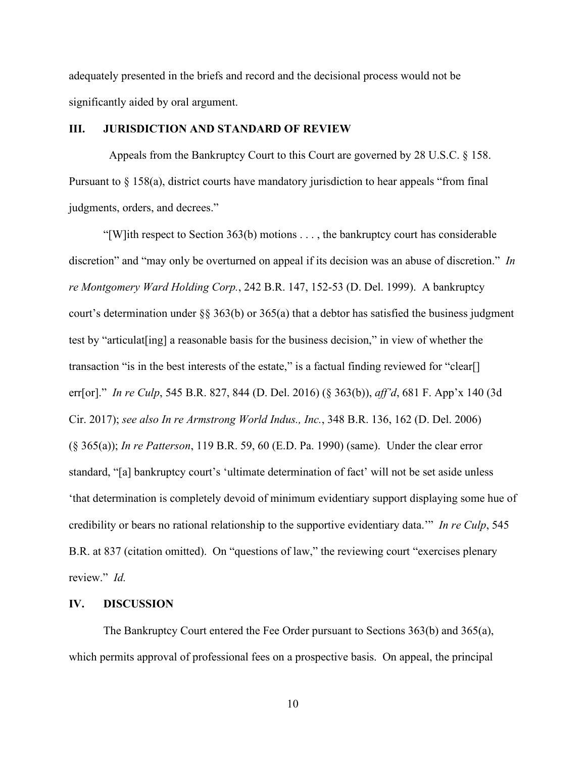adequately presented in the briefs and record and the decisional process would not be significantly aided by oral argument.

### **III. JURISDICTION AND STANDARD OF REVIEW**

 Appeals from the Bankruptcy Court to this Court are governed by 28 U.S.C. § 158. Pursuant to § 158(a), district courts have mandatory jurisdiction to hear appeals "from final judgments, orders, and decrees."

"[W]ith respect to Section 363(b) motions  $\dots$ , the bankruptcy court has considerable discretion" and "may only be overturned on appeal if its decision was an abuse of discretion." *In re Montgomery Ward Holding Corp.*, 242 B.R. 147, 152-53 (D. Del. 1999). A bankruptcy court's determination under §§ 363(b) or 365(a) that a debtor has satisfied the business judgment test by "articulat[ing] a reasonable basis for the business decision," in view of whether the transaction "is in the best interests of the estate," is a factual finding reviewed for "clear[] err[or]." *In re Culp*, 545 B.R. 827, 844 (D. Del. 2016) (§ 363(b)), *aff'd*, 681 F. App'x 140 (3d Cir. 2017); *see also In re Armstrong World Indus., Inc.*, 348 B.R. 136, 162 (D. Del. 2006) (§ 365(a)); *In re Patterson*, 119 B.R. 59, 60 (E.D. Pa. 1990) (same). Under the clear error standard, "[a] bankruptcy court's 'ultimate determination of fact' will not be set aside unless 'that determination is completely devoid of minimum evidentiary support displaying some hue of credibility or bears no rational relationship to the supportive evidentiary data.'" *In re Culp*, 545 B.R. at 837 (citation omitted). On "questions of law," the reviewing court "exercises plenary review." *Id.*

#### **IV. DISCUSSION**

The Bankruptcy Court entered the Fee Order pursuant to Sections 363(b) and 365(a), which permits approval of professional fees on a prospective basis. On appeal, the principal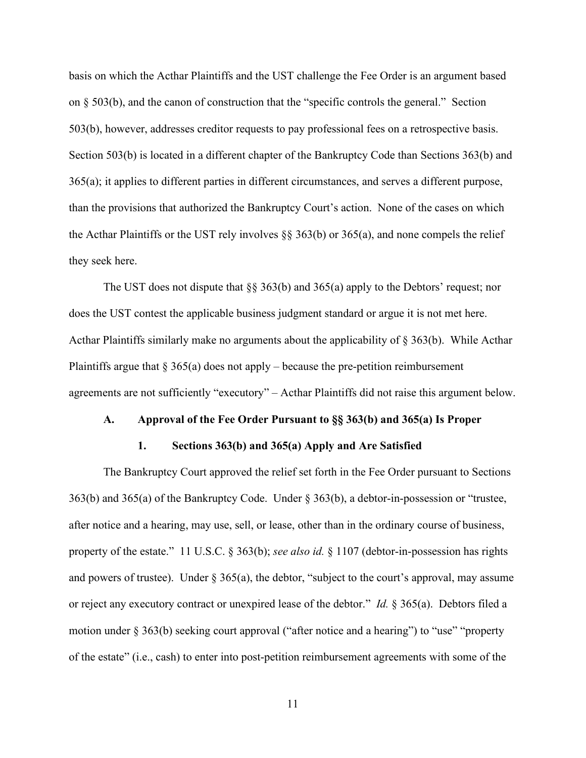basis on which the Acthar Plaintiffs and the UST challenge the Fee Order is an argument based on  $\S$  503(b), and the canon of construction that the "specific controls the general." Section 503(b), however, addresses creditor requests to pay professional fees on a retrospective basis. Section 503(b) is located in a different chapter of the Bankruptcy Code than Sections 363(b) and 365(a); it applies to different parties in different circumstances, and serves a different purpose, than the provisions that authorized the Bankruptcy Court's action. None of the cases on which the Acthar Plaintiffs or the UST rely involves  $\S$  363(b) or 365(a), and none compels the relief they seek here.

The UST does not dispute that  $\S$ § 363(b) and 365(a) apply to the Debtors' request; nor does the UST contest the applicable business judgment standard or argue it is not met here. Acthar Plaintiffs similarly make no arguments about the applicability of § 363(b). While Acthar Plaintiffs argue that  $\S 365(a)$  does not apply – because the pre-petition reimbursement agreements are not sufficiently "executory" – Acthar Plaintiffs did not raise this argument below.

#### **A. Approval of the Fee Order Pursuant to §§ 363(b) and 365(a) Is Proper**

#### **1. Sections 363(b) and 365(a) Apply and Are Satisfied**

The Bankruptcy Court approved the relief set forth in the Fee Order pursuant to Sections 363(b) and 365(a) of the Bankruptcy Code. Under § 363(b), a debtor-in-possession or "trustee, after notice and a hearing, may use, sell, or lease, other than in the ordinary course of business, property of the estate." 11 U.S.C. § 363(b); *see also id.* § 1107 (debtor-in-possession has rights and powers of trustee). Under  $\S 365(a)$ , the debtor, "subject to the court's approval, may assume or reject any executory contract or unexpired lease of the debtor." *Id.* § 365(a). Debtors filed a motion under § 363(b) seeking court approval ("after notice and a hearing") to "use" "property of the estate" (i.e., cash) to enter into post-petition reimbursement agreements with some of the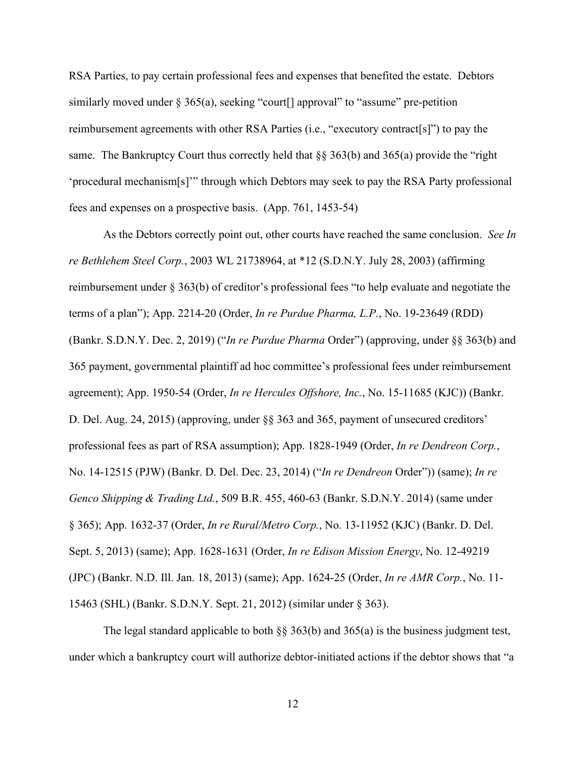RSA Parties, to pay certain professional fees and expenses that benefited the estate. Debtors similarly moved under  $\S 365(a)$ , seeking "court<sup>[]</sup> approval" to "assume" pre-petition reimbursement agreements with other RSA Parties (i.e., "executory contract[s]") to pay the same. The Bankruptcy Court thus correctly held that §§ 363(b) and 365(a) provide the "right 'procedural mechanism[s]'" through which Debtors may seek to pay the RSA Party professional fees and expenses on a prospective basis. (App. 761, 1453-54)

As the Debtors correctly point out, other courts have reached the same conclusion. *See In re Bethlehem Steel Corp.*, 2003 WL 21738964, at \*12 (S.D.N.Y. July 28, 2003) (affirming reimbursement under § 363(b) of creditor's professional fees "to help evaluate and negotiate the terms of a plan"); App. 2214-20 (Order, *In re Purdue Pharma, L.P.*, No. 19-23649 (RDD) (Bankr. S.D.N.Y. Dec. 2, 2019) ("*In re Purdue Pharma* Order") (approving, under §§ 363(b) and 365 payment, governmental plaintiff ad hoc committee's professional fees under reimbursement agreement); App. 1950-54 (Order, *In re Hercules Offshore, Inc.*, No. 15-11685 (KJC)) (Bankr. D. Del. Aug. 24, 2015) (approving, under §§ 363 and 365, payment of unsecured creditors' professional fees as part of RSA assumption); App. 1828-1949 (Order, *In re Dendreon Corp.*, No. 14-12515 (PJW) (Bankr. D. Del. Dec. 23, 2014) ("*In re Dendreon* Order")) (same); *In re Genco Shipping & Trading Ltd.*, 509 B.R. 455, 460-63 (Bankr. S.D.N.Y. 2014) (same under § 365); App. 1632-37 (Order, *In re Rural/Metro Corp.*, No. 13-11952 (KJC) (Bankr. D. Del. Sept. 5, 2013) (same); App. 1628-1631 (Order, *In re Edison Mission Energy*, No. 12-49219 (JPC) (Bankr. N.D. Ill. Jan. 18, 2013) (same); App. 1624-25 (Order, *In re AMR Corp.*, No. 11- 15463 (SHL) (Bankr. S.D.N.Y. Sept. 21, 2012) (similar under § 363).

The legal standard applicable to both  $\S$ § 363(b) and 365(a) is the business judgment test, under which a bankruptcy court will authorize debtor-initiated actions if the debtor shows that "a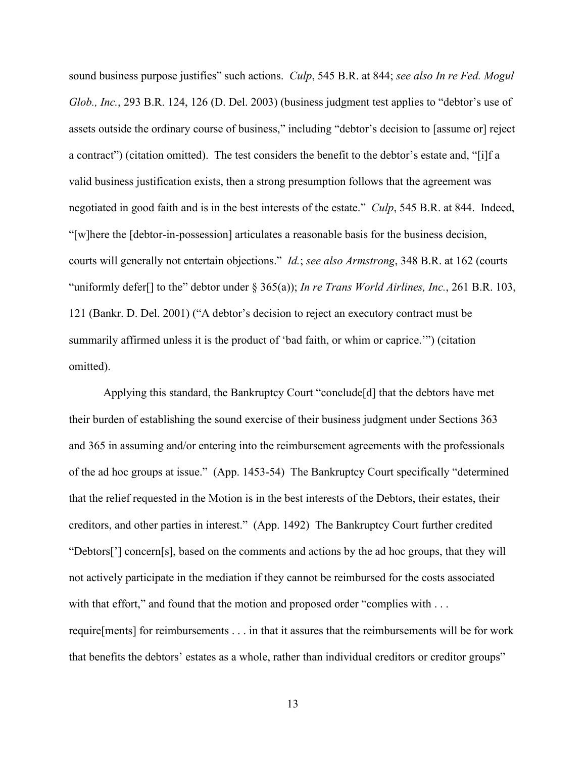sound business purpose justifies" such actions. *Culp*, 545 B.R. at 844; *see also In re Fed. Mogul Glob., Inc.*, 293 B.R. 124, 126 (D. Del. 2003) (business judgment test applies to "debtor's use of assets outside the ordinary course of business," including "debtor's decision to [assume or] reject a contract") (citation omitted). The test considers the benefit to the debtor's estate and, "[i]f a valid business justification exists, then a strong presumption follows that the agreement was negotiated in good faith and is in the best interests of the estate." *Culp*, 545 B.R. at 844. Indeed, "[w]here the [debtor-in-possession] articulates a reasonable basis for the business decision, courts will generally not entertain objections." *Id.*; *see also Armstrong*, 348 B.R. at 162 (courts "uniformly defer<sup>[]</sup> to the" debtor under  $\S$  365(a)); *In re Trans World Airlines, Inc.*, 261 B.R. 103, 121 (Bankr. D. Del. 2001) ("A debtor's decision to reject an executory contract must be summarily affirmed unless it is the product of 'bad faith, or whim or caprice.'") (citation omitted).

Applying this standard, the Bankruptcy Court "conclude[d] that the debtors have met their burden of establishing the sound exercise of their business judgment under Sections 363 and 365 in assuming and/or entering into the reimbursement agreements with the professionals of the ad hoc groups at issue." (App. 1453-54) The Bankruptcy Court specifically "determined that the relief requested in the Motion is in the best interests of the Debtors, their estates, their creditors, and other parties in interest." (App. 1492) The Bankruptcy Court further credited "Debtors['] concern[s], based on the comments and actions by the ad hoc groups, that they will not actively participate in the mediation if they cannot be reimbursed for the costs associated with that effort," and found that the motion and proposed order "complies with . . . require[ments] for reimbursements . . . in that it assures that the reimbursements will be for work that benefits the debtors' estates as a whole, rather than individual creditors or creditor groups"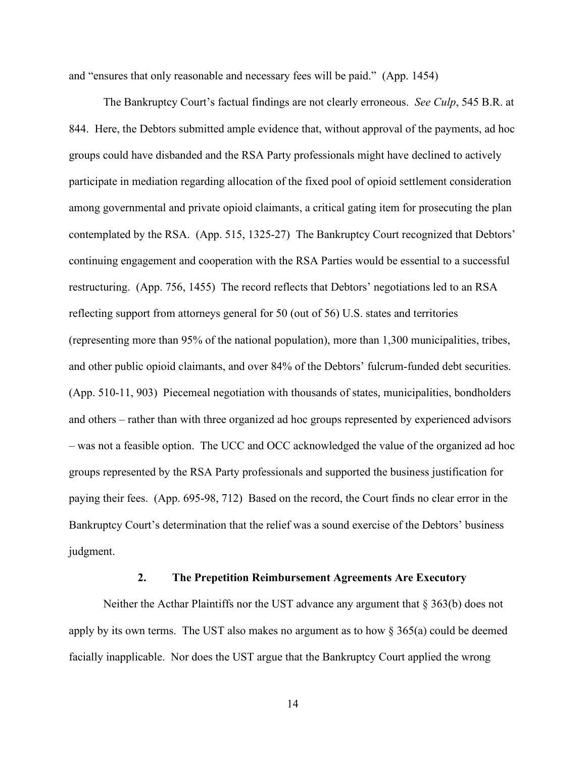and "ensures that only reasonable and necessary fees will be paid." (App. 1454)

The Bankruptcy Court's factual findings are not clearly erroneous. *See Culp*, 545 B.R. at 844. Here, the Debtors submitted ample evidence that, without approval of the payments, ad hoc groups could have disbanded and the RSA Party professionals might have declined to actively participate in mediation regarding allocation of the fixed pool of opioid settlement consideration among governmental and private opioid claimants, a critical gating item for prosecuting the plan contemplated by the RSA. (App. 515, 1325-27) The Bankruptcy Court recognized that Debtors' continuing engagement and cooperation with the RSA Parties would be essential to a successful restructuring. (App. 756, 1455) The record reflects that Debtors' negotiations led to an RSA reflecting support from attorneys general for 50 (out of 56) U.S. states and territories (representing more than 95% of the national population), more than 1,300 municipalities, tribes, and other public opioid claimants, and over 84% of the Debtors' fulcrum-funded debt securities. (App. 510-11, 903) Piecemeal negotiation with thousands of states, municipalities, bondholders and others – rather than with three organized ad hoc groups represented by experienced advisors – was not a feasible option. The UCC and OCC acknowledged the value of the organized ad hoc groups represented by the RSA Party professionals and supported the business justification for paying their fees. (App. 695-98, 712) Based on the record, the Court finds no clear error in the Bankruptcy Court's determination that the relief was a sound exercise of the Debtors' business judgment.

#### **2. The Prepetition Reimbursement Agreements Are Executory**

Neither the Acthar Plaintiffs nor the UST advance any argument that § 363(b) does not apply by its own terms. The UST also makes no argument as to how  $\S 365(a)$  could be deemed facially inapplicable. Nor does the UST argue that the Bankruptcy Court applied the wrong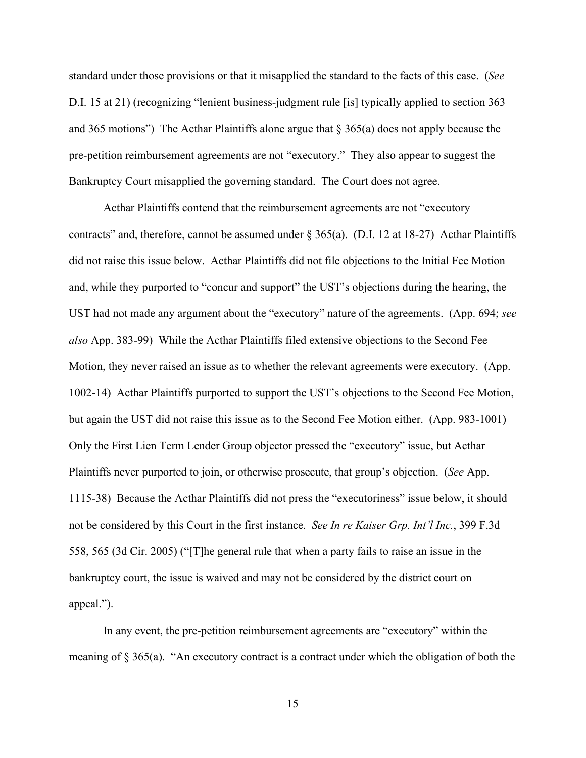standard under those provisions or that it misapplied the standard to the facts of this case. (*See*  D.I. 15 at 21) (recognizing "lenient business-judgment rule [is] typically applied to section 363 and 365 motions") The Acthar Plaintiffs alone argue that  $\S 365(a)$  does not apply because the pre-petition reimbursement agreements are not "executory." They also appear to suggest the Bankruptcy Court misapplied the governing standard. The Court does not agree.

Acthar Plaintiffs contend that the reimbursement agreements are not "executory contracts" and, therefore, cannot be assumed under  $\S 365(a)$ . (D.I. 12 at 18-27) Acthar Plaintiffs did not raise this issue below. Acthar Plaintiffs did not file objections to the Initial Fee Motion and, while they purported to "concur and support" the UST's objections during the hearing, the UST had not made any argument about the "executory" nature of the agreements. (App. 694; *see also* App. 383-99) While the Acthar Plaintiffs filed extensive objections to the Second Fee Motion, they never raised an issue as to whether the relevant agreements were executory. (App. 1002-14) Acthar Plaintiffs purported to support the UST's objections to the Second Fee Motion, but again the UST did not raise this issue as to the Second Fee Motion either. (App. 983-1001) Only the First Lien Term Lender Group objector pressed the "executory" issue, but Acthar Plaintiffs never purported to join, or otherwise prosecute, that group's objection. (*See* App. 1115-38) Because the Acthar Plaintiffs did not press the "executoriness" issue below, it should not be considered by this Court in the first instance. *See In re Kaiser Grp. Int'l Inc.*, 399 F.3d 558, 565 (3d Cir. 2005) ("[T]he general rule that when a party fails to raise an issue in the bankruptcy court, the issue is waived and may not be considered by the district court on appeal.").

In any event, the pre-petition reimbursement agreements are "executory" within the meaning of § 365(a). "An executory contract is a contract under which the obligation of both the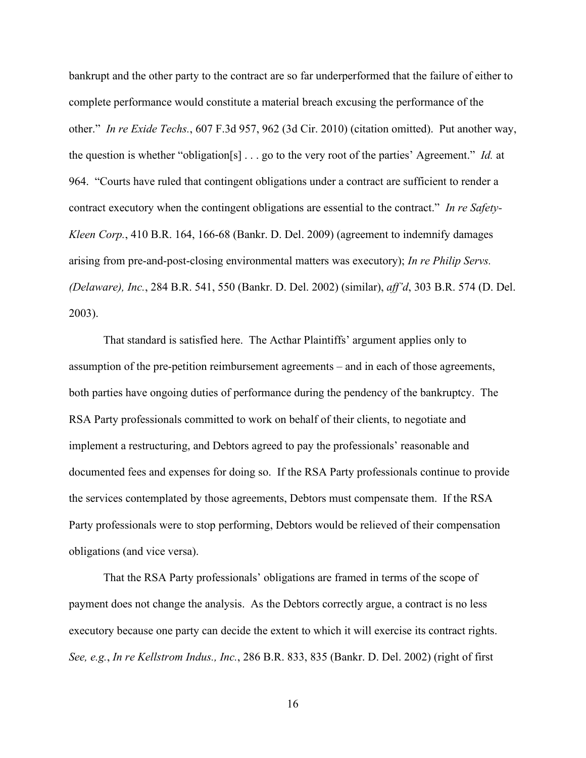bankrupt and the other party to the contract are so far underperformed that the failure of either to complete performance would constitute a material breach excusing the performance of the other." *In re Exide Techs.*, 607 F.3d 957, 962 (3d Cir. 2010) (citation omitted). Put another way, the question is whether "obligation[s] . . . go to the very root of the parties' Agreement." *Id.* at 964. "Courts have ruled that contingent obligations under a contract are sufficient to render a contract executory when the contingent obligations are essential to the contract." *In re Safety-Kleen Corp.*, 410 B.R. 164, 166-68 (Bankr. D. Del. 2009) (agreement to indemnify damages arising from pre-and-post-closing environmental matters was executory); *In re Philip Servs. (Delaware), Inc.*, 284 B.R. 541, 550 (Bankr. D. Del. 2002) (similar), *aff'd*, 303 B.R. 574 (D. Del. 2003).

That standard is satisfied here. The Acthar Plaintiffs' argument applies only to assumption of the pre-petition reimbursement agreements – and in each of those agreements, both parties have ongoing duties of performance during the pendency of the bankruptcy. The RSA Party professionals committed to work on behalf of their clients, to negotiate and implement a restructuring, and Debtors agreed to pay the professionals' reasonable and documented fees and expenses for doing so. If the RSA Party professionals continue to provide the services contemplated by those agreements, Debtors must compensate them. If the RSA Party professionals were to stop performing, Debtors would be relieved of their compensation obligations (and vice versa).

That the RSA Party professionals' obligations are framed in terms of the scope of payment does not change the analysis. As the Debtors correctly argue, a contract is no less executory because one party can decide the extent to which it will exercise its contract rights. *See, e.g.*, *In re Kellstrom Indus., Inc.*, 286 B.R. 833, 835 (Bankr. D. Del. 2002) (right of first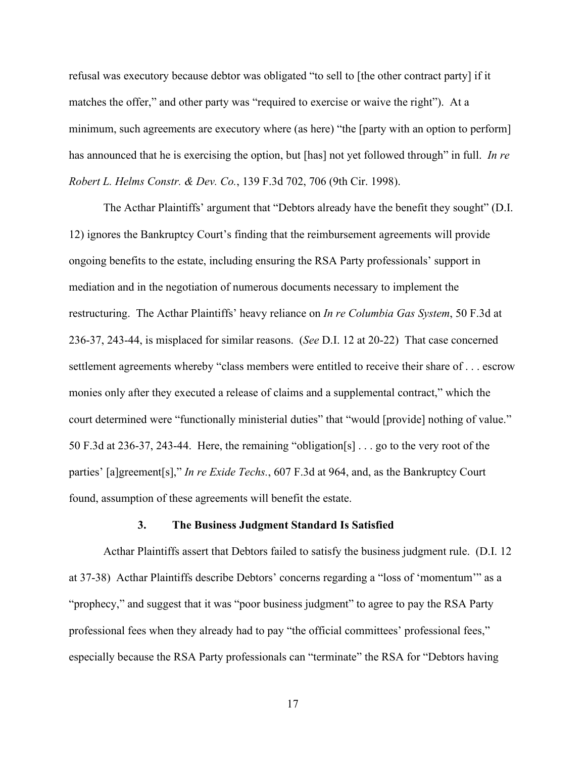refusal was executory because debtor was obligated "to sell to [the other contract party] if it matches the offer," and other party was "required to exercise or waive the right"). At a minimum, such agreements are executory where (as here) "the [party with an option to perform] has announced that he is exercising the option, but [has] not yet followed through" in full. *In re Robert L. Helms Constr. & Dev. Co.*, 139 F.3d 702, 706 (9th Cir. 1998).

The Acthar Plaintiffs' argument that "Debtors already have the benefit they sought" (D.I. 12) ignores the Bankruptcy Court's finding that the reimbursement agreements will provide ongoing benefits to the estate, including ensuring the RSA Party professionals' support in mediation and in the negotiation of numerous documents necessary to implement the restructuring. The Acthar Plaintiffs' heavy reliance on *In re Columbia Gas System*, 50 F.3d at 236-37, 243-44, is misplaced for similar reasons. (*See* D.I. 12 at 20-22) That case concerned settlement agreements whereby "class members were entitled to receive their share of . . . escrow monies only after they executed a release of claims and a supplemental contract," which the court determined were "functionally ministerial duties" that "would [provide] nothing of value." 50 F.3d at 236-37, 243-44. Here, the remaining "obligation[s] . . . go to the very root of the parties' [a]greement[s]," *In re Exide Techs.*, 607 F.3d at 964, and, as the Bankruptcy Court found, assumption of these agreements will benefit the estate.

#### **3. The Business Judgment Standard Is Satisfied**

Acthar Plaintiffs assert that Debtors failed to satisfy the business judgment rule. (D.I. 12 at 37-38) Acthar Plaintiffs describe Debtors' concerns regarding a "loss of 'momentum'" as a "prophecy," and suggest that it was "poor business judgment" to agree to pay the RSA Party professional fees when they already had to pay "the official committees' professional fees," especially because the RSA Party professionals can "terminate" the RSA for "Debtors having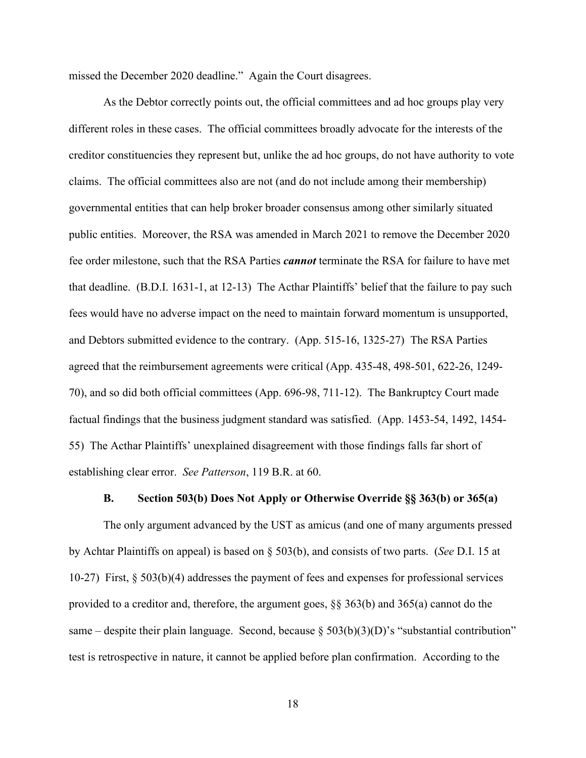missed the December 2020 deadline." Again the Court disagrees.

As the Debtor correctly points out, the official committees and ad hoc groups play very different roles in these cases. The official committees broadly advocate for the interests of the creditor constituencies they represent but, unlike the ad hoc groups, do not have authority to vote claims. The official committees also are not (and do not include among their membership) governmental entities that can help broker broader consensus among other similarly situated public entities. Moreover, the RSA was amended in March 2021 to remove the December 2020 fee order milestone, such that the RSA Parties *cannot* terminate the RSA for failure to have met that deadline. (B.D.I. 1631-1, at 12-13) The Acthar Plaintiffs' belief that the failure to pay such fees would have no adverse impact on the need to maintain forward momentum is unsupported, and Debtors submitted evidence to the contrary. (App. 515-16, 1325-27) The RSA Parties agreed that the reimbursement agreements were critical (App. 435-48, 498-501, 622-26, 1249- 70), and so did both official committees (App. 696-98, 711-12). The Bankruptcy Court made factual findings that the business judgment standard was satisfied. (App. 1453-54, 1492, 1454- 55) The Acthar Plaintiffs' unexplained disagreement with those findings falls far short of establishing clear error. *See Patterson*, 119 B.R. at 60.

### **B. Section 503(b) Does Not Apply or Otherwise Override §§ 363(b) or 365(a)**

The only argument advanced by the UST as amicus (and one of many arguments pressed by Achtar Plaintiffs on appeal) is based on § 503(b), and consists of two parts. (*See* D.I. 15 at 10-27) First, § 503(b)(4) addresses the payment of fees and expenses for professional services provided to a creditor and, therefore, the argument goes, §§ 363(b) and 365(a) cannot do the same – despite their plain language. Second, because  $\S 503(b)(3)(D)$ 's "substantial contribution" test is retrospective in nature, it cannot be applied before plan confirmation. According to the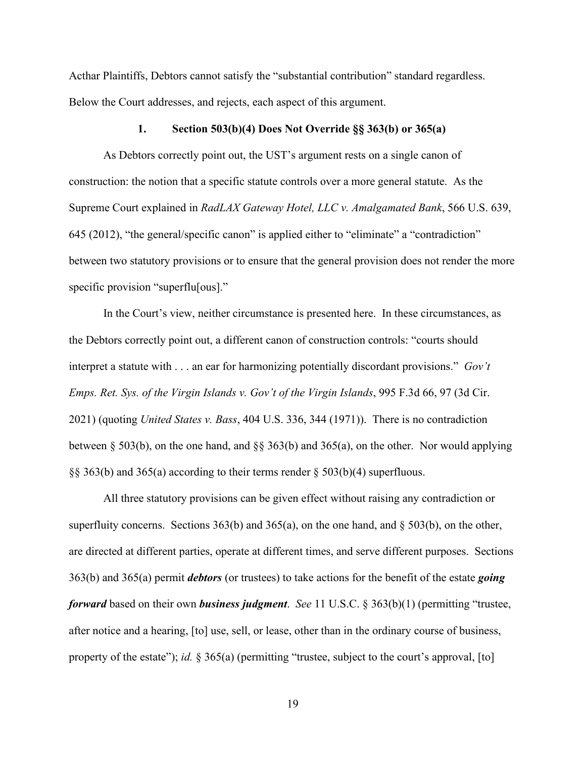Acthar Plaintiffs, Debtors cannot satisfy the "substantial contribution" standard regardless. Below the Court addresses, and rejects, each aspect of this argument.

#### **1. Section 503(b)(4) Does Not Override §§ 363(b) or 365(a)**

As Debtors correctly point out, the UST's argument rests on a single canon of construction: the notion that a specific statute controls over a more general statute. As the Supreme Court explained in *RadLAX Gateway Hotel, LLC v. Amalgamated Bank*, 566 U.S. 639, 645 (2012), "the general/specific canon" is applied either to "eliminate" a "contradiction" between two statutory provisions or to ensure that the general provision does not render the more specific provision "superflu[ous]."

In the Court's view, neither circumstance is presented here. In these circumstances, as the Debtors correctly point out, a different canon of construction controls: "courts should interpret a statute with . . . an ear for harmonizing potentially discordant provisions." *Gov't Emps. Ret. Sys. of the Virgin Islands v. Gov't of the Virgin Islands*, 995 F.3d 66, 97 (3d Cir. 2021) (quoting *United States v. Bass*, 404 U.S. 336, 344 (1971)). There is no contradiction between § 503(b), on the one hand, and §§ 363(b) and 365(a), on the other. Nor would applying §§ 363(b) and 365(a) according to their terms render § 503(b)(4) superfluous.

All three statutory provisions can be given effect without raising any contradiction or superfluity concerns. Sections 363(b) and 365(a), on the one hand, and  $\S$  503(b), on the other, are directed at different parties, operate at different times, and serve different purposes. Sections 363(b) and 365(a) permit *debtors* (or trustees) to take actions for the benefit of the estate *going forward* based on their own *business judgment*. *See* 11 U.S.C. § 363(b)(1) (permitting "trustee, after notice and a hearing, [to] use, sell, or lease, other than in the ordinary course of business, property of the estate"); *id.* § 365(a) (permitting "trustee, subject to the court's approval, [to]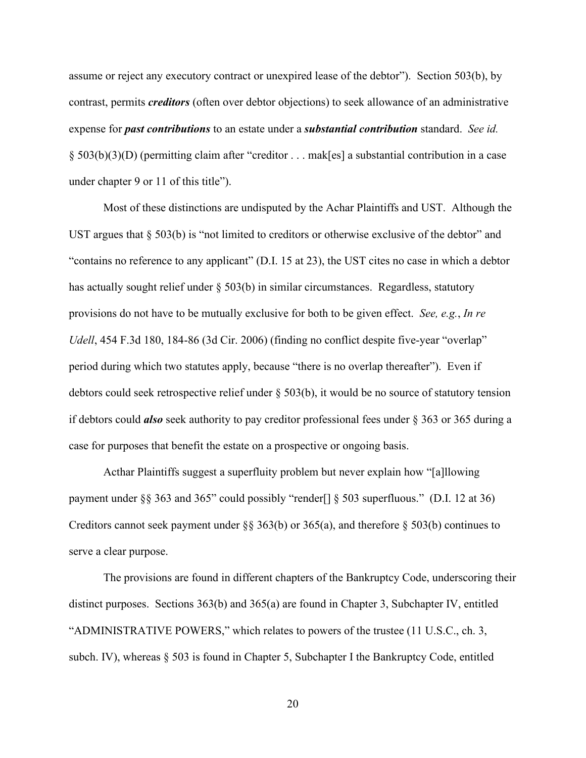assume or reject any executory contract or unexpired lease of the debtor"). Section 503(b), by contrast, permits *creditors* (often over debtor objections) to seek allowance of an administrative expense for *past contributions* to an estate under a *substantial contribution* standard. *See id.*  § 503(b)(3)(D) (permitting claim after "creditor . . . mak[es] a substantial contribution in a case under chapter 9 or 11 of this title").

Most of these distinctions are undisputed by the Achar Plaintiffs and UST. Although the UST argues that  $\S$  503(b) is "not limited to creditors or otherwise exclusive of the debtor" and "contains no reference to any applicant" (D.I. 15 at 23), the UST cites no case in which a debtor has actually sought relief under  $\S$  503(b) in similar circumstances. Regardless, statutory provisions do not have to be mutually exclusive for both to be given effect. *See, e.g.*, *In re Udell*, 454 F.3d 180, 184-86 (3d Cir. 2006) (finding no conflict despite five-year "overlap" period during which two statutes apply, because "there is no overlap thereafter"). Even if debtors could seek retrospective relief under § 503(b), it would be no source of statutory tension if debtors could *also* seek authority to pay creditor professional fees under § 363 or 365 during a case for purposes that benefit the estate on a prospective or ongoing basis.

Acthar Plaintiffs suggest a superfluity problem but never explain how "[a]llowing payment under §§ 363 and 365" could possibly "render[] § 503 superfluous." (D.I. 12 at 36) Creditors cannot seek payment under §§ 363(b) or 365(a), and therefore § 503(b) continues to serve a clear purpose.

The provisions are found in different chapters of the Bankruptcy Code, underscoring their distinct purposes. Sections 363(b) and 365(a) are found in Chapter 3, Subchapter IV, entitled "ADMINISTRATIVE POWERS," which relates to powers of the trustee (11 U.S.C., ch. 3, subch. IV), whereas § 503 is found in Chapter 5, Subchapter I the Bankruptcy Code, entitled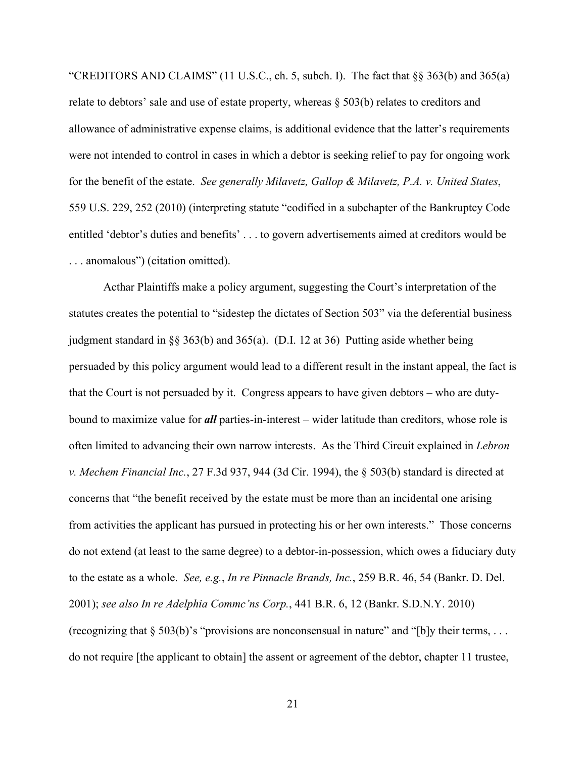"CREDITORS AND CLAIMS" (11 U.S.C., ch. 5, subch. I). The fact that  $\S$ § 363(b) and 365(a) relate to debtors' sale and use of estate property, whereas  $\S$  503(b) relates to creditors and allowance of administrative expense claims, is additional evidence that the latter's requirements were not intended to control in cases in which a debtor is seeking relief to pay for ongoing work for the benefit of the estate. *See generally Milavetz, Gallop & Milavetz, P.A. v. United States*, 559 U.S. 229, 252 (2010) (interpreting statute "codified in a subchapter of the Bankruptcy Code entitled 'debtor's duties and benefits' . . . to govern advertisements aimed at creditors would be . . . anomalous") (citation omitted).

Acthar Plaintiffs make a policy argument, suggesting the Court's interpretation of the statutes creates the potential to "sidestep the dictates of Section 503" via the deferential business judgment standard in §§ 363(b) and 365(a). (D.I. 12 at 36) Putting aside whether being persuaded by this policy argument would lead to a different result in the instant appeal, the fact is that the Court is not persuaded by it. Congress appears to have given debtors – who are dutybound to maximize value for *all* parties-in-interest – wider latitude than creditors, whose role is often limited to advancing their own narrow interests. As the Third Circuit explained in *Lebron v. Mechem Financial Inc.*, 27 F.3d 937, 944 (3d Cir. 1994), the § 503(b) standard is directed at concerns that "the benefit received by the estate must be more than an incidental one arising from activities the applicant has pursued in protecting his or her own interests." Those concerns do not extend (at least to the same degree) to a debtor-in-possession, which owes a fiduciary duty to the estate as a whole. *See, e.g.*, *In re Pinnacle Brands, Inc.*, 259 B.R. 46, 54 (Bankr. D. Del. 2001); *see also In re Adelphia Commc'ns Corp.*, 441 B.R. 6, 12 (Bankr. S.D.N.Y. 2010) (recognizing that  $\S 503(b)$ 's "provisions are nonconsensual in nature" and "[b]y their terms, ... do not require [the applicant to obtain] the assent or agreement of the debtor, chapter 11 trustee,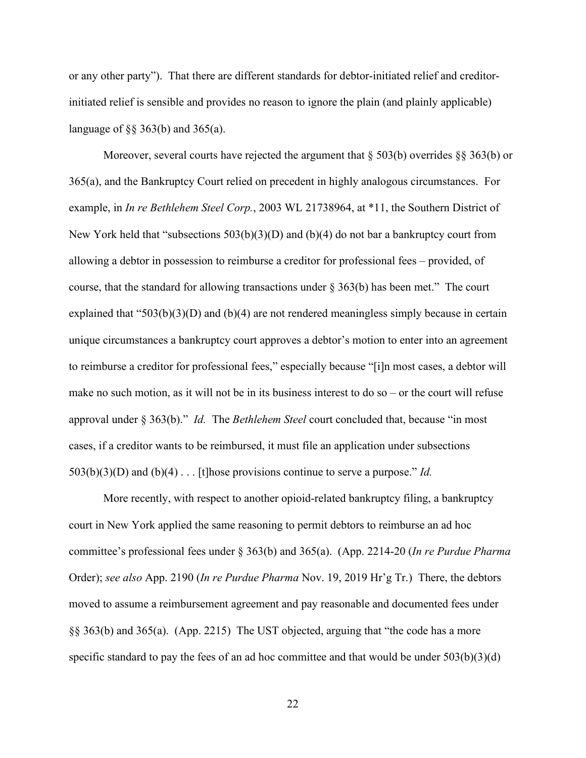or any other party"). That there are different standards for debtor-initiated relief and creditorinitiated relief is sensible and provides no reason to ignore the plain (and plainly applicable) language of  $\S$ § 363(b) and 365(a).

Moreover, several courts have rejected the argument that  $\S 503(b)$  overrides  $\S § 363(b)$  or 365(a), and the Bankruptcy Court relied on precedent in highly analogous circumstances. For example, in *In re Bethlehem Steel Corp.*, 2003 WL 21738964, at \*11, the Southern District of New York held that "subsections 503(b)(3)(D) and (b)(4) do not bar a bankruptcy court from allowing a debtor in possession to reimburse a creditor for professional fees – provided, of course, that the standard for allowing transactions under  $\S 363(b)$  has been met." The court explained that "503(b)(3)(D) and (b)(4) are not rendered meaningless simply because in certain unique circumstances a bankruptcy court approves a debtor's motion to enter into an agreement to reimburse a creditor for professional fees," especially because "[i]n most cases, a debtor will make no such motion, as it will not be in its business interest to do so – or the court will refuse approval under § 363(b)." *Id.* The *Bethlehem Steel* court concluded that, because "in most cases, if a creditor wants to be reimbursed, it must file an application under subsections 503(b)(3)(D) and (b)(4) . . . [t]hose provisions continue to serve a purpose." *Id.*

More recently, with respect to another opioid-related bankruptcy filing, a bankruptcy court in New York applied the same reasoning to permit debtors to reimburse an ad hoc committee's professional fees under § 363(b) and 365(a). (App. 2214-20 (*In re Purdue Pharma*  Order); *see also* App. 2190 (*In re Purdue Pharma* Nov. 19, 2019 Hr'g Tr.) There, the debtors moved to assume a reimbursement agreement and pay reasonable and documented fees under §§ 363(b) and 365(a). (App. 2215) The UST objected, arguing that "the code has a more specific standard to pay the fees of an ad hoc committee and that would be under  $503(b)(3)(d)$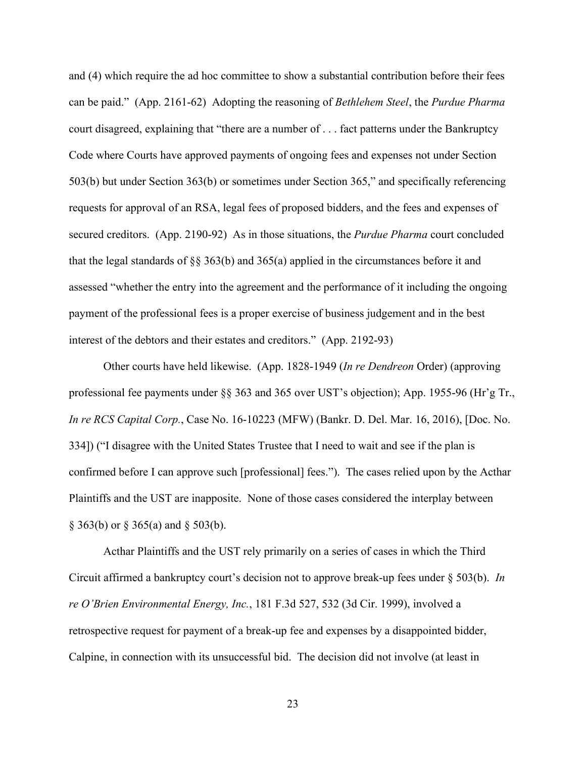and (4) which require the ad hoc committee to show a substantial contribution before their fees can be paid." (App. 2161-62) Adopting the reasoning of *Bethlehem Steel*, the *Purdue Pharma*  court disagreed, explaining that "there are a number of . . . fact patterns under the Bankruptcy Code where Courts have approved payments of ongoing fees and expenses not under Section 503(b) but under Section 363(b) or sometimes under Section 365," and specifically referencing requests for approval of an RSA, legal fees of proposed bidders, and the fees and expenses of secured creditors. (App. 2190-92) As in those situations, the *Purdue Pharma* court concluded that the legal standards of §§ 363(b) and 365(a) applied in the circumstances before it and assessed "whether the entry into the agreement and the performance of it including the ongoing payment of the professional fees is a proper exercise of business judgement and in the best interest of the debtors and their estates and creditors." (App. 2192-93)

Other courts have held likewise. (App. 1828-1949 (*In re Dendreon* Order) (approving professional fee payments under §§ 363 and 365 over UST's objection); App. 1955-96 (Hr'g Tr., *In re RCS Capital Corp.*, Case No. 16-10223 (MFW) (Bankr. D. Del. Mar. 16, 2016), [Doc. No. 334]) ("I disagree with the United States Trustee that I need to wait and see if the plan is confirmed before I can approve such [professional] fees."). The cases relied upon by the Acthar Plaintiffs and the UST are inapposite. None of those cases considered the interplay between  $\S$  363(b) or  $\S$  365(a) and  $\S$  503(b).

Acthar Plaintiffs and the UST rely primarily on a series of cases in which the Third Circuit affirmed a bankruptcy court's decision not to approve break-up fees under § 503(b). *In re O'Brien Environmental Energy, Inc.*, 181 F.3d 527, 532 (3d Cir. 1999), involved a retrospective request for payment of a break-up fee and expenses by a disappointed bidder, Calpine, in connection with its unsuccessful bid. The decision did not involve (at least in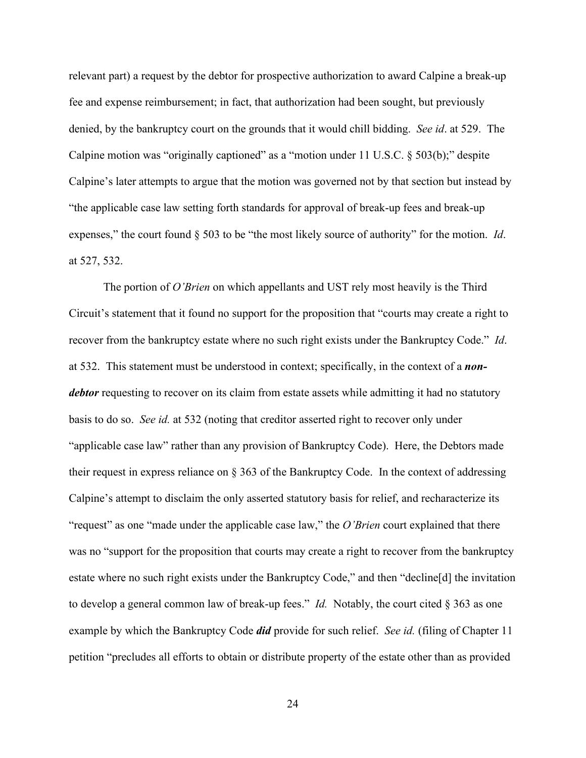relevant part) a request by the debtor for prospective authorization to award Calpine a break-up fee and expense reimbursement; in fact, that authorization had been sought, but previously denied, by the bankruptcy court on the grounds that it would chill bidding. *See id*. at 529. The Calpine motion was "originally captioned" as a "motion under 11 U.S.C. § 503(b);" despite Calpine's later attempts to argue that the motion was governed not by that section but instead by "the applicable case law setting forth standards for approval of break-up fees and break-up expenses," the court found § 503 to be "the most likely source of authority" for the motion. *Id*. at 527, 532.

The portion of *O'Brien* on which appellants and UST rely most heavily is the Third Circuit's statement that it found no support for the proposition that "courts may create a right to recover from the bankruptcy estate where no such right exists under the Bankruptcy Code." *Id*. at 532. This statement must be understood in context; specifically, in the context of a *nondebtor* requesting to recover on its claim from estate assets while admitting it had no statutory basis to do so. *See id.* at 532 (noting that creditor asserted right to recover only under "applicable case law" rather than any provision of Bankruptcy Code). Here, the Debtors made their request in express reliance on § 363 of the Bankruptcy Code. In the context of addressing Calpine's attempt to disclaim the only asserted statutory basis for relief, and recharacterize its "request" as one "made under the applicable case law," the *O'Brien* court explained that there was no "support for the proposition that courts may create a right to recover from the bankruptcy estate where no such right exists under the Bankruptcy Code," and then "decline[d] the invitation to develop a general common law of break-up fees." *Id.* Notably, the court cited § 363 as one example by which the Bankruptcy Code *did* provide for such relief. *See id.* (filing of Chapter 11 petition "precludes all efforts to obtain or distribute property of the estate other than as provided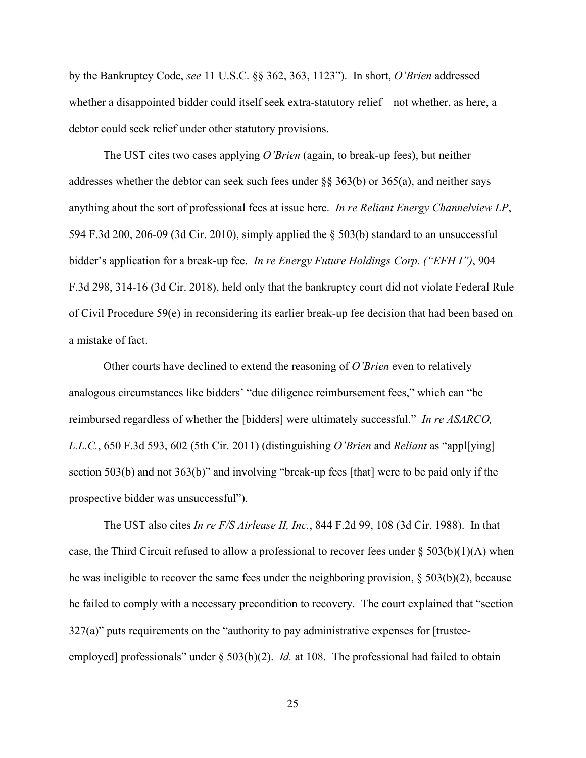by the Bankruptcy Code, *see* 11 U.S.C. §§ 362, 363, 1123"). In short, *O'Brien* addressed whether a disappointed bidder could itself seek extra-statutory relief – not whether, as here, a debtor could seek relief under other statutory provisions.

The UST cites two cases applying *O'Brien* (again, to break-up fees), but neither addresses whether the debtor can seek such fees under §§ 363(b) or 365(a), and neither says anything about the sort of professional fees at issue here. *In re Reliant Energy Channelview LP*, 594 F.3d 200, 206-09 (3d Cir. 2010), simply applied the § 503(b) standard to an unsuccessful bidder's application for a break-up fee. *In re Energy Future Holdings Corp. ("EFH I")*, 904 F.3d 298, 314-16 (3d Cir. 2018), held only that the bankruptcy court did not violate Federal Rule of Civil Procedure 59(e) in reconsidering its earlier break-up fee decision that had been based on a mistake of fact.

Other courts have declined to extend the reasoning of *O'Brien* even to relatively analogous circumstances like bidders' "due diligence reimbursement fees," which can "be reimbursed regardless of whether the [bidders] were ultimately successful." *In re ASARCO, L.L.C.*, 650 F.3d 593, 602 (5th Cir. 2011) (distinguishing *O'Brien* and *Reliant* as "appl[ying] section 503(b) and not 363(b)" and involving "break-up fees [that] were to be paid only if the prospective bidder was unsuccessful").

The UST also cites *In re F/S Airlease II, Inc.*, 844 F.2d 99, 108 (3d Cir. 1988). In that case, the Third Circuit refused to allow a professional to recover fees under  $\S 503(b)(1)(A)$  when he was ineligible to recover the same fees under the neighboring provision, § 503(b)(2), because he failed to comply with a necessary precondition to recovery. The court explained that "section  $327(a)$ " puts requirements on the "authority to pay administrative expenses for [trusteeemployed] professionals" under § 503(b)(2). *Id.* at 108. The professional had failed to obtain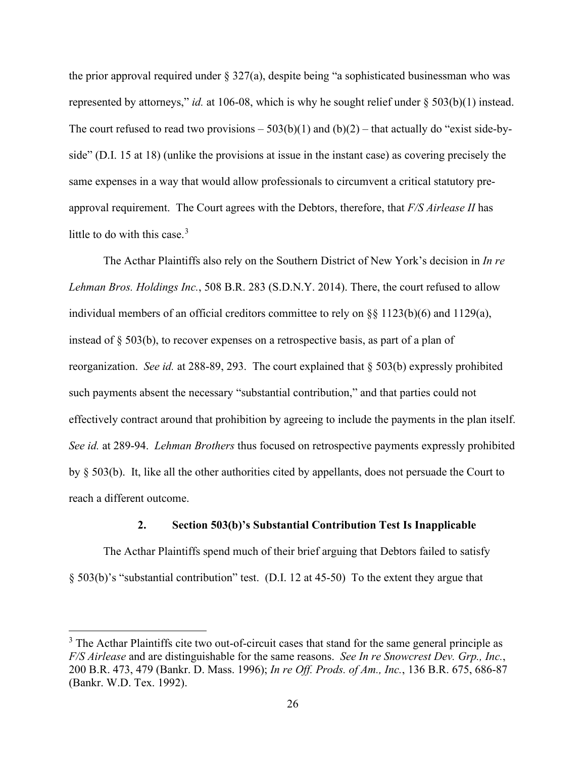the prior approval required under  $\S 327(a)$ , despite being "a sophisticated businessman who was represented by attorneys," *id.* at 106-08, which is why he sought relief under § 503(b)(1) instead. The court refused to read two provisions  $-503(b)(1)$  and  $(b)(2)$  – that actually do "exist side-byside" (D.I. 15 at 18) (unlike the provisions at issue in the instant case) as covering precisely the same expenses in a way that would allow professionals to circumvent a critical statutory preapproval requirement. The Court agrees with the Debtors, therefore, that *F/S Airlease II* has little to do with this case.<sup>[3](#page-25-0)</sup>

The Acthar Plaintiffs also rely on the Southern District of New York's decision in *In re Lehman Bros. Holdings Inc.*, 508 B.R. 283 (S.D.N.Y. 2014). There, the court refused to allow individual members of an official creditors committee to rely on §§ 1123(b)(6) and 1129(a), instead of  $\S$  503(b), to recover expenses on a retrospective basis, as part of a plan of reorganization. *See id.* at 288-89, 293. The court explained that § 503(b) expressly prohibited such payments absent the necessary "substantial contribution," and that parties could not effectively contract around that prohibition by agreeing to include the payments in the plan itself. *See id.* at 289-94. *Lehman Brothers* thus focused on retrospective payments expressly prohibited by § 503(b). It, like all the other authorities cited by appellants, does not persuade the Court to reach a different outcome.

### **2. Section 503(b)'s Substantial Contribution Test Is Inapplicable**

The Acthar Plaintiffs spend much of their brief arguing that Debtors failed to satisfy § 503(b)'s "substantial contribution" test. (D.I. 12 at 45-50) To the extent they argue that

<span id="page-25-0"></span> $3$  The Acthar Plaintiffs cite two out-of-circuit cases that stand for the same general principle as *F/S Airlease* and are distinguishable for the same reasons. *See In re Snowcrest Dev. Grp., Inc.*, 200 B.R. 473, 479 (Bankr. D. Mass. 1996); *In re Off. Prods. of Am., Inc.*, 136 B.R. 675, 686-87 (Bankr. W.D. Tex. 1992).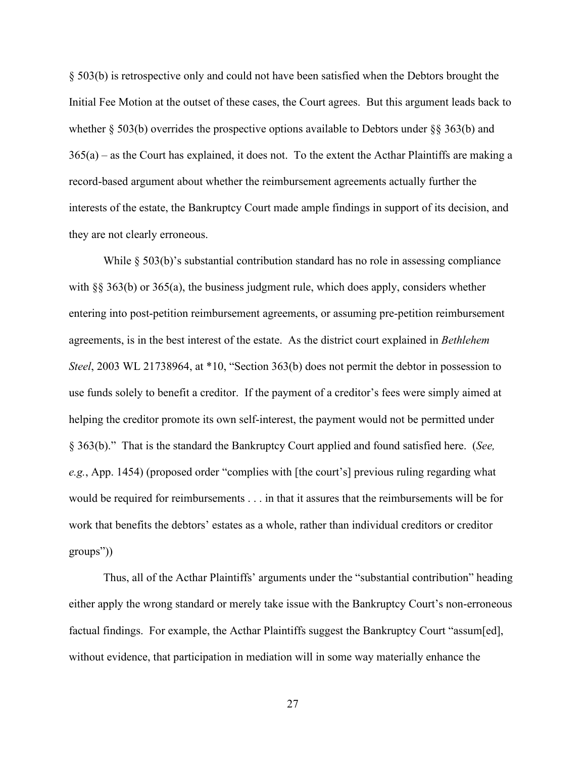§ 503(b) is retrospective only and could not have been satisfied when the Debtors brought the Initial Fee Motion at the outset of these cases, the Court agrees. But this argument leads back to whether  $\S$  503(b) overrides the prospective options available to Debtors under  $\S$ § 363(b) and  $365(a)$  – as the Court has explained, it does not. To the extent the Acthar Plaintiffs are making a record-based argument about whether the reimbursement agreements actually further the interests of the estate, the Bankruptcy Court made ample findings in support of its decision, and they are not clearly erroneous.

While § 503(b)'s substantial contribution standard has no role in assessing compliance with §§ 363(b) or 365(a), the business judgment rule, which does apply, considers whether entering into post-petition reimbursement agreements, or assuming pre-petition reimbursement agreements, is in the best interest of the estate. As the district court explained in *Bethlehem Steel*, 2003 WL 21738964, at \*10, "Section 363(b) does not permit the debtor in possession to use funds solely to benefit a creditor. If the payment of a creditor's fees were simply aimed at helping the creditor promote its own self-interest, the payment would not be permitted under § 363(b)." That is the standard the Bankruptcy Court applied and found satisfied here. (*See, e.g.*, App. 1454) (proposed order "complies with [the court's] previous ruling regarding what would be required for reimbursements . . . in that it assures that the reimbursements will be for work that benefits the debtors' estates as a whole, rather than individual creditors or creditor groups"))

Thus, all of the Acthar Plaintiffs' arguments under the "substantial contribution" heading either apply the wrong standard or merely take issue with the Bankruptcy Court's non-erroneous factual findings. For example, the Acthar Plaintiffs suggest the Bankruptcy Court "assum[ed], without evidence, that participation in mediation will in some way materially enhance the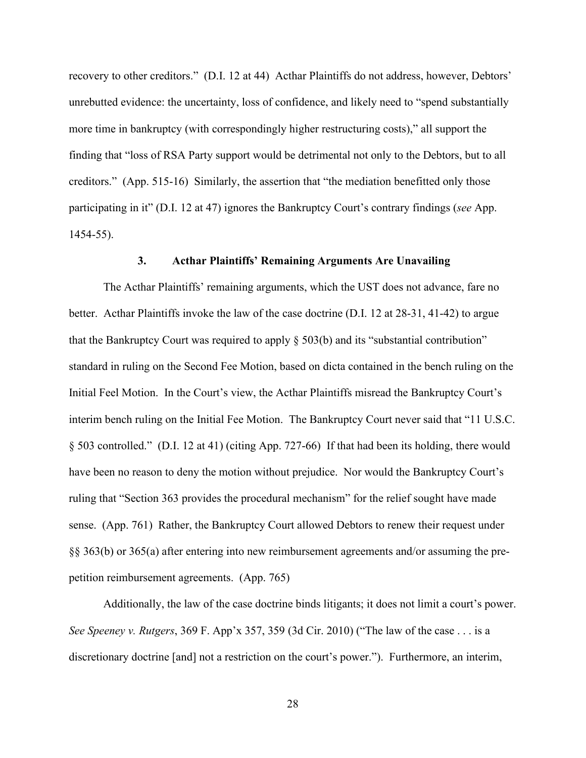recovery to other creditors." (D.I. 12 at 44) Acthar Plaintiffs do not address, however, Debtors' unrebutted evidence: the uncertainty, loss of confidence, and likely need to "spend substantially more time in bankruptcy (with correspondingly higher restructuring costs)," all support the finding that "loss of RSA Party support would be detrimental not only to the Debtors, but to all creditors." (App. 515-16) Similarly, the assertion that "the mediation benefitted only those participating in it" (D.I. 12 at 47) ignores the Bankruptcy Court's contrary findings (*see* App. 1454-55).

### **3. Acthar Plaintiffs' Remaining Arguments Are Unavailing**

The Acthar Plaintiffs' remaining arguments, which the UST does not advance, fare no better. Acthar Plaintiffs invoke the law of the case doctrine (D.I. 12 at 28-31, 41-42) to argue that the Bankruptcy Court was required to apply  $\S 503(b)$  and its "substantial contribution" standard in ruling on the Second Fee Motion, based on dicta contained in the bench ruling on the Initial Feel Motion. In the Court's view, the Acthar Plaintiffs misread the Bankruptcy Court's interim bench ruling on the Initial Fee Motion. The Bankruptcy Court never said that "11 U.S.C. § 503 controlled." (D.I. 12 at 41) (citing App. 727-66) If that had been its holding, there would have been no reason to deny the motion without prejudice. Nor would the Bankruptcy Court's ruling that "Section 363 provides the procedural mechanism" for the relief sought have made sense. (App. 761) Rather, the Bankruptcy Court allowed Debtors to renew their request under §§ 363(b) or 365(a) after entering into new reimbursement agreements and/or assuming the prepetition reimbursement agreements. (App. 765)

Additionally, the law of the case doctrine binds litigants; it does not limit a court's power. *See Speeney v. Rutgers*, 369 F. App'x 357, 359 (3d Cir. 2010) ("The law of the case . . . is a discretionary doctrine [and] not a restriction on the court's power."). Furthermore, an interim,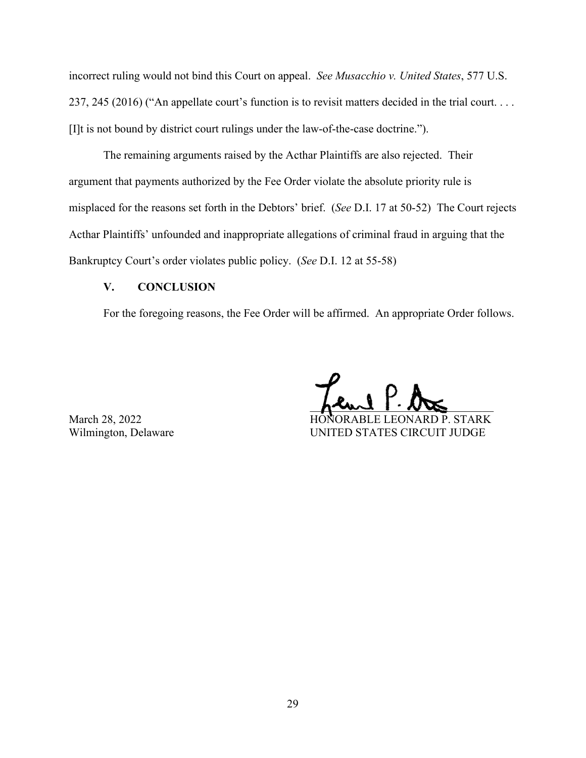incorrect ruling would not bind this Court on appeal. *See Musacchio v. United States*, 577 U.S. 237, 245 (2016) ("An appellate court's function is to revisit matters decided in the trial court. . . . [I]t is not bound by district court rulings under the law-of-the-case doctrine.").

The remaining arguments raised by the Acthar Plaintiffs are also rejected. Their argument that payments authorized by the Fee Order violate the absolute priority rule is misplaced for the reasons set forth in the Debtors' brief. (*See* D.I. 17 at 50-52) The Court rejects Acthar Plaintiffs' unfounded and inappropriate allegations of criminal fraud in arguing that the Bankruptcy Court's order violates public policy. (*See* D.I. 12 at 55-58)

## **V. CONCLUSION**

For the foregoing reasons, the Fee Order will be affirmed. An appropriate Order follows.

 $h^{\star}$   $\sim$   $\sqrt{2}$ March 28, 2022 HONORABLE LEONARD P. STARK

Wilmington, Delaware UNITED STATES CIRCUIT JUDGE